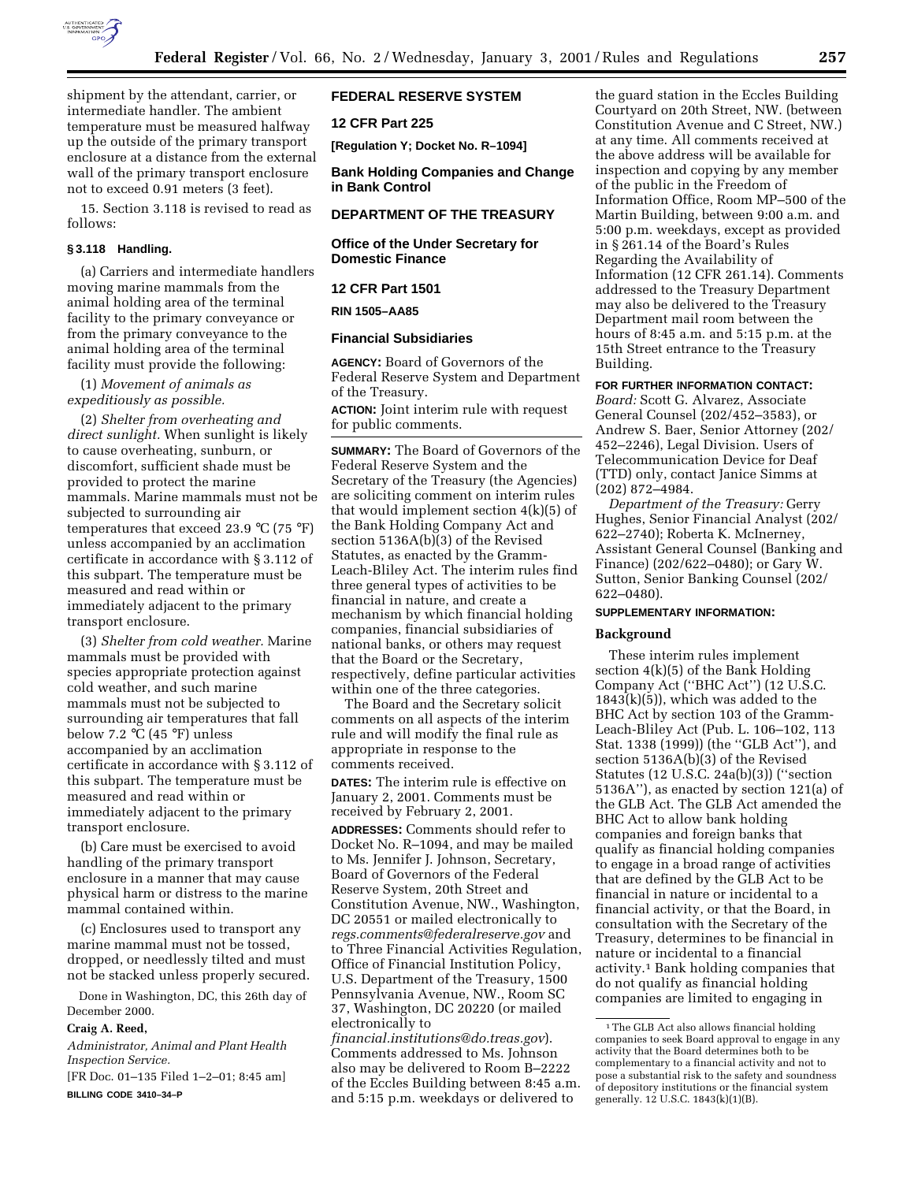

shipment by the attendant, carrier, or intermediate handler. The ambient temperature must be measured halfway up the outside of the primary transport enclosure at a distance from the external wall of the primary transport enclosure not to exceed 0.91 meters (3 feet).

15. Section 3.118 is revised to read as follows:

## **§ 3.118 Handling.**

(a) Carriers and intermediate handlers moving marine mammals from the animal holding area of the terminal facility to the primary conveyance or from the primary conveyance to the animal holding area of the terminal facility must provide the following:

(1) *Movement of animals as expeditiously as possible.*

(2) *Shelter from overheating and direct sunlight.* When sunlight is likely to cause overheating, sunburn, or discomfort, sufficient shade must be provided to protect the marine mammals. Marine mammals must not be subjected to surrounding air temperatures that exceed 23.9  $^{\circ}$ C (75  $^{\circ}$ F) unless accompanied by an acclimation certificate in accordance with § 3.112 of this subpart. The temperature must be measured and read within or immediately adjacent to the primary transport enclosure.

(3) *Shelter from cold weather.* Marine mammals must be provided with species appropriate protection against cold weather, and such marine mammals must not be subjected to surrounding air temperatures that fall below 7.2 °C (45 °F) unless accompanied by an acclimation certificate in accordance with § 3.112 of this subpart. The temperature must be measured and read within or immediately adjacent to the primary transport enclosure.

(b) Care must be exercised to avoid handling of the primary transport enclosure in a manner that may cause physical harm or distress to the marine mammal contained within.

(c) Enclosures used to transport any marine mammal must not be tossed, dropped, or needlessly tilted and must not be stacked unless properly secured.

Done in Washington, DC, this 26th day of December 2000.

#### **Craig A. Reed,**

*Administrator, Animal and Plant Health Inspection Service.*

[FR Doc. 01–135 Filed 1–2–01; 8:45 am] **BILLING CODE 3410–34–P**

## **FEDERAL RESERVE SYSTEM**

**12 CFR Part 225**

**[Regulation Y; Docket No. R–1094]**

**Bank Holding Companies and Change in Bank Control**

## **DEPARTMENT OF THE TREASURY**

## **Office of the Under Secretary for Domestic Finance**

## **12 CFR Part 1501**

## **RIN 1505–AA85**

#### **Financial Subsidiaries**

**AGENCY:** Board of Governors of the Federal Reserve System and Department of the Treasury.

**ACTION:** Joint interim rule with request for public comments.

**SUMMARY:** The Board of Governors of the Federal Reserve System and the Secretary of the Treasury (the Agencies) are soliciting comment on interim rules that would implement section 4(k)(5) of the Bank Holding Company Act and section 5136A(b)(3) of the Revised Statutes, as enacted by the Gramm-Leach-Bliley Act. The interim rules find three general types of activities to be financial in nature, and create a mechanism by which financial holding companies, financial subsidiaries of national banks, or others may request that the Board or the Secretary, respectively, define particular activities within one of the three categories.

The Board and the Secretary solicit comments on all aspects of the interim rule and will modify the final rule as appropriate in response to the comments received.

**DATES:** The interim rule is effective on January 2, 2001. Comments must be received by February 2, 2001.

**ADDRESSES:** Comments should refer to Docket No. R–1094, and may be mailed to Ms. Jennifer J. Johnson, Secretary, Board of Governors of the Federal Reserve System, 20th Street and Constitution Avenue, NW., Washington, DC 20551 or mailed electronically to *regs.comments@federalreserve.gov* and to Three Financial Activities Regulation, Office of Financial Institution Policy, U.S. Department of the Treasury, 1500 Pennsylvania Avenue, NW., Room SC 37, Washington, DC 20220 (or mailed electronically to

*financial.institutions@do.treas.gov*). Comments addressed to Ms. Johnson also may be delivered to Room B–2222 of the Eccles Building between 8:45 a.m. and 5:15 p.m. weekdays or delivered to

the guard station in the Eccles Building Courtyard on 20th Street, NW. (between Constitution Avenue and C Street, NW.) at any time. All comments received at the above address will be available for inspection and copying by any member of the public in the Freedom of Information Office, Room MP–500 of the Martin Building, between 9:00 a.m. and 5:00 p.m. weekdays, except as provided in § 261.14 of the Board's Rules Regarding the Availability of Information (12 CFR 261.14). Comments addressed to the Treasury Department may also be delivered to the Treasury Department mail room between the hours of 8:45 a.m. and 5:15 p.m. at the 15th Street entrance to the Treasury Building.

#### **FOR FURTHER INFORMATION CONTACT:**

*Board:* Scott G. Alvarez, Associate General Counsel (202/452–3583), or Andrew S. Baer, Senior Attorney (202/ 452–2246), Legal Division. Users of Telecommunication Device for Deaf (TTD) only, contact Janice Simms at (202) 872–4984.

*Department of the Treasury:* Gerry Hughes, Senior Financial Analyst (202/ 622–2740); Roberta K. McInerney, Assistant General Counsel (Banking and Finance) (202/622–0480); or Gary W. Sutton, Senior Banking Counsel (202/ 622–0480).

#### **SUPPLEMENTARY INFORMATION:**

### **Background**

These interim rules implement section 4(k)(5) of the Bank Holding Company Act (''BHC Act'') (12 U.S.C. 1843(k)(5)), which was added to the BHC Act by section 103 of the Gramm-Leach-Bliley Act (Pub. L. 106–102, 113 Stat. 1338 (1999)) (the ''GLB Act''), and section 5136A(b)(3) of the Revised Statutes (12 U.S.C. 24a(b)(3)) (''section 5136A''), as enacted by section 121(a) of the GLB Act. The GLB Act amended the BHC Act to allow bank holding companies and foreign banks that qualify as financial holding companies to engage in a broad range of activities that are defined by the GLB Act to be financial in nature or incidental to a financial activity, or that the Board, in consultation with the Secretary of the Treasury, determines to be financial in nature or incidental to a financial activity.1 Bank holding companies that do not qualify as financial holding companies are limited to engaging in

<sup>&</sup>lt;sup>1</sup>The GLB Act also allows financial holding companies to seek Board approval to engage in any activity that the Board determines both to be complementary to a financial activity and not to pose a substantial risk to the safety and soundness of depository institutions or the financial system generally. 12 U.S.C. 1843(k)(1)(B).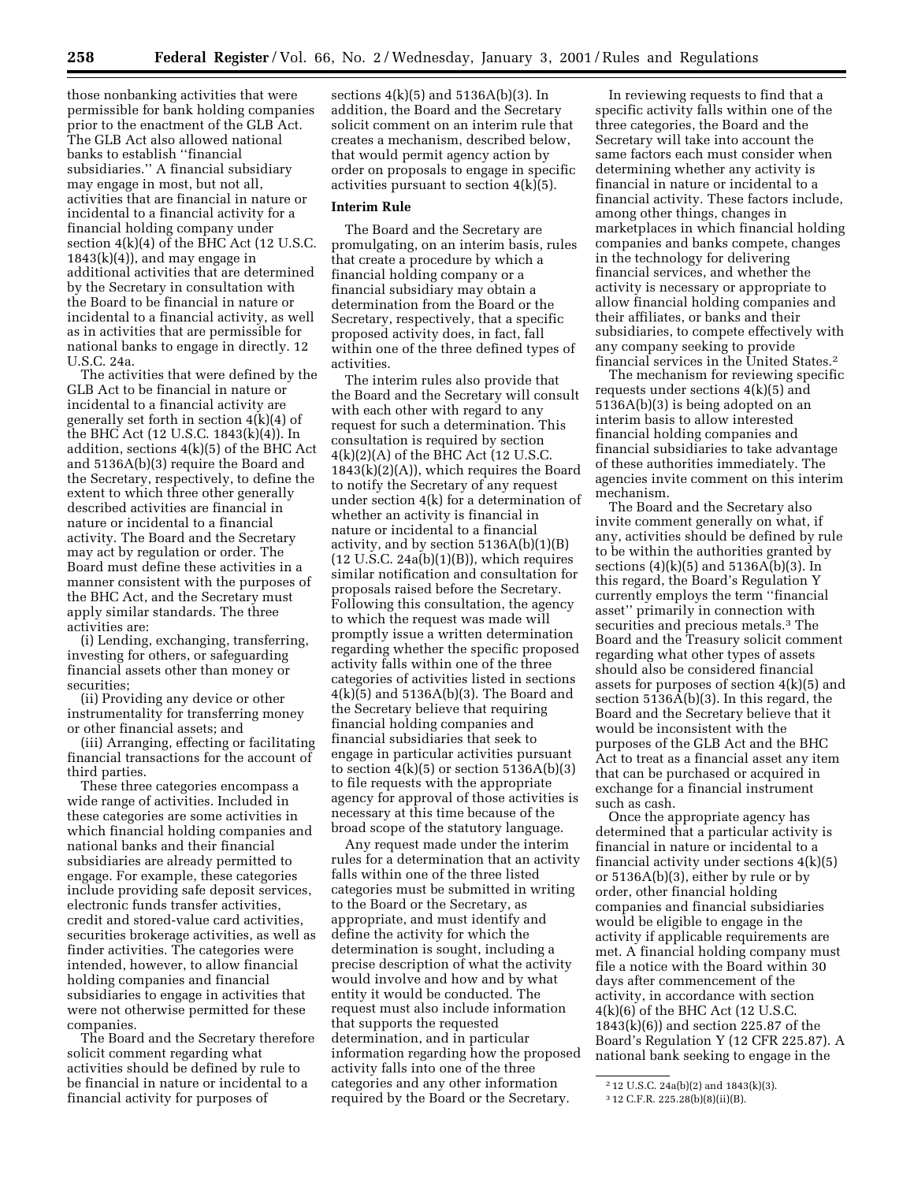those nonbanking activities that were permissible for bank holding companies prior to the enactment of the GLB Act. The GLB Act also allowed national banks to establish ''financial subsidiaries.'' A financial subsidiary may engage in most, but not all, activities that are financial in nature or incidental to a financial activity for a financial holding company under section 4(k)(4) of the BHC Act (12 U.S.C.  $1843(k)(4)$ , and may engage in additional activities that are determined by the Secretary in consultation with the Board to be financial in nature or incidental to a financial activity, as well as in activities that are permissible for national banks to engage in directly. 12 U.S.C. 24a.

The activities that were defined by the GLB Act to be financial in nature or incidental to a financial activity are generally set forth in section 4(k)(4) of the BHC Act (12 U.S.C. 1843(k)(4)). In addition, sections 4(k)(5) of the BHC Act and 5136A(b)(3) require the Board and the Secretary, respectively, to define the extent to which three other generally described activities are financial in nature or incidental to a financial activity. The Board and the Secretary may act by regulation or order. The Board must define these activities in a manner consistent with the purposes of the BHC Act, and the Secretary must apply similar standards. The three activities are:

(i) Lending, exchanging, transferring, investing for others, or safeguarding financial assets other than money or securities;

(ii) Providing any device or other instrumentality for transferring money or other financial assets; and

(iii) Arranging, effecting or facilitating financial transactions for the account of third parties.

These three categories encompass a wide range of activities. Included in these categories are some activities in which financial holding companies and national banks and their financial subsidiaries are already permitted to engage. For example, these categories include providing safe deposit services, electronic funds transfer activities, credit and stored-value card activities, securities brokerage activities, as well as finder activities. The categories were intended, however, to allow financial holding companies and financial subsidiaries to engage in activities that were not otherwise permitted for these companies.

The Board and the Secretary therefore solicit comment regarding what activities should be defined by rule to be financial in nature or incidental to a financial activity for purposes of

sections 4(k)(5) and 5136A(b)(3). In addition, the Board and the Secretary solicit comment on an interim rule that creates a mechanism, described below, that would permit agency action by order on proposals to engage in specific activities pursuant to section 4(k)(5).

## **Interim Rule**

The Board and the Secretary are promulgating, on an interim basis, rules that create a procedure by which a financial holding company or a financial subsidiary may obtain a determination from the Board or the Secretary, respectively, that a specific proposed activity does, in fact, fall within one of the three defined types of activities.

The interim rules also provide that the Board and the Secretary will consult with each other with regard to any request for such a determination. This consultation is required by section 4(k)(2)(A) of the BHC Act (12 U.S.C.  $1843(k)(2)(A)$ , which requires the Board to notify the Secretary of any request under section 4(k) for a determination of whether an activity is financial in nature or incidental to a financial activity, and by section 5136A(b)(1)(B)  $(12 \text{ U.S.C. } 24a(b)(1)(B))$ , which requires similar notification and consultation for proposals raised before the Secretary. Following this consultation, the agency to which the request was made will promptly issue a written determination regarding whether the specific proposed activity falls within one of the three categories of activities listed in sections 4(k)(5) and 5136A(b)(3). The Board and the Secretary believe that requiring financial holding companies and financial subsidiaries that seek to engage in particular activities pursuant to section  $4(k)(5)$  or section  $5136A(b)(3)$ to file requests with the appropriate agency for approval of those activities is necessary at this time because of the broad scope of the statutory language.

Any request made under the interim rules for a determination that an activity falls within one of the three listed categories must be submitted in writing to the Board or the Secretary, as appropriate, and must identify and define the activity for which the determination is sought, including a precise description of what the activity would involve and how and by what entity it would be conducted. The request must also include information that supports the requested determination, and in particular information regarding how the proposed activity falls into one of the three categories and any other information required by the Board or the Secretary.

In reviewing requests to find that a specific activity falls within one of the three categories, the Board and the Secretary will take into account the same factors each must consider when determining whether any activity is financial in nature or incidental to a financial activity. These factors include, among other things, changes in marketplaces in which financial holding companies and banks compete, changes in the technology for delivering financial services, and whether the activity is necessary or appropriate to allow financial holding companies and their affiliates, or banks and their subsidiaries, to compete effectively with any company seeking to provide financial services in the United States.2

The mechanism for reviewing specific requests under sections 4(k)(5) and 5136A(b)(3) is being adopted on an interim basis to allow interested financial holding companies and financial subsidiaries to take advantage of these authorities immediately. The agencies invite comment on this interim mechanism.

The Board and the Secretary also invite comment generally on what, if any, activities should be defined by rule to be within the authorities granted by sections (4)(k)(5) and 5136A(b)(3). In this regard, the Board's Regulation Y currently employs the term ''financial asset'' primarily in connection with securities and precious metals.3 The Board and the Treasury solicit comment regarding what other types of assets should also be considered financial assets for purposes of section 4(k)(5) and section 5136A(b)(3). In this regard, the Board and the Secretary believe that it would be inconsistent with the purposes of the GLB Act and the BHC Act to treat as a financial asset any item that can be purchased or acquired in exchange for a financial instrument such as cash.

Once the appropriate agency has determined that a particular activity is financial in nature or incidental to a financial activity under sections 4(k)(5) or 5136A(b)(3), either by rule or by order, other financial holding companies and financial subsidiaries would be eligible to engage in the activity if applicable requirements are met. A financial holding company must file a notice with the Board within 30 days after commencement of the activity, in accordance with section 4(k)(6) of the BHC Act (12 U.S.C. 1843(k)(6)) and section 225.87 of the Board's Regulation Y (12 CFR 225.87). A national bank seeking to engage in the

<sup>2</sup> 12 U.S.C. 24a(b)(2) and 1843(k)(3).

<sup>3</sup> 12 C.F.R. 225.28(b)(8)(ii)(B).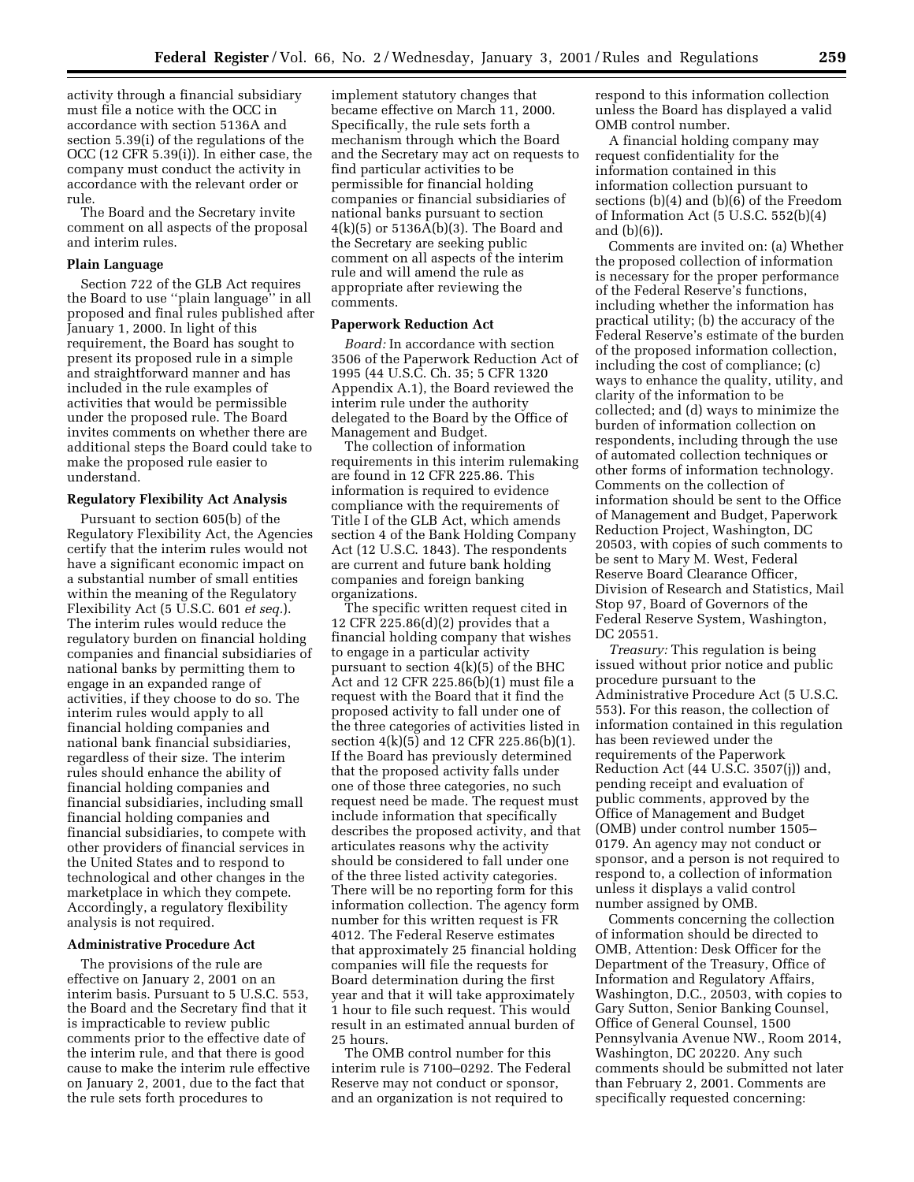activity through a financial subsidiary must file a notice with the OCC in accordance with section 5136A and section 5.39(i) of the regulations of the OCC (12 CFR 5.39(i)). In either case, the company must conduct the activity in accordance with the relevant order or rule.

The Board and the Secretary invite comment on all aspects of the proposal and interim rules.

#### **Plain Language**

Section 722 of the GLB Act requires the Board to use ''plain language'' in all proposed and final rules published after January 1, 2000. In light of this requirement, the Board has sought to present its proposed rule in a simple and straightforward manner and has included in the rule examples of activities that would be permissible under the proposed rule. The Board invites comments on whether there are additional steps the Board could take to make the proposed rule easier to understand.

#### **Regulatory Flexibility Act Analysis**

Pursuant to section 605(b) of the Regulatory Flexibility Act, the Agencies certify that the interim rules would not have a significant economic impact on a substantial number of small entities within the meaning of the Regulatory Flexibility Act (5 U.S.C. 601 *et seq.*). The interim rules would reduce the regulatory burden on financial holding companies and financial subsidiaries of national banks by permitting them to engage in an expanded range of activities, if they choose to do so. The interim rules would apply to all financial holding companies and national bank financial subsidiaries, regardless of their size. The interim rules should enhance the ability of financial holding companies and financial subsidiaries, including small financial holding companies and financial subsidiaries, to compete with other providers of financial services in the United States and to respond to technological and other changes in the marketplace in which they compete. Accordingly, a regulatory flexibility analysis is not required.

#### **Administrative Procedure Act**

The provisions of the rule are effective on January 2, 2001 on an interim basis. Pursuant to 5 U.S.C. 553, the Board and the Secretary find that it is impracticable to review public comments prior to the effective date of the interim rule, and that there is good cause to make the interim rule effective on January 2, 2001, due to the fact that the rule sets forth procedures to

implement statutory changes that became effective on March 11, 2000. Specifically, the rule sets forth a mechanism through which the Board and the Secretary may act on requests to find particular activities to be permissible for financial holding companies or financial subsidiaries of national banks pursuant to section 4(k)(5) or 5136A(b)(3). The Board and the Secretary are seeking public comment on all aspects of the interim rule and will amend the rule as appropriate after reviewing the comments.

#### **Paperwork Reduction Act**

*Board:* In accordance with section 3506 of the Paperwork Reduction Act of 1995 (44 U.S.C. Ch. 35; 5 CFR 1320 Appendix A.1), the Board reviewed the interim rule under the authority delegated to the Board by the Office of Management and Budget.

The collection of information requirements in this interim rulemaking are found in 12 CFR 225.86. This information is required to evidence compliance with the requirements of Title I of the GLB Act, which amends section 4 of the Bank Holding Company Act (12 U.S.C. 1843). The respondents are current and future bank holding companies and foreign banking organizations.

The specific written request cited in 12 CFR 225.86(d)(2) provides that a financial holding company that wishes to engage in a particular activity pursuant to section 4(k)(5) of the BHC Act and 12 CFR 225.86(b)(1) must file a request with the Board that it find the proposed activity to fall under one of the three categories of activities listed in section 4(k)(5) and 12 CFR 225.86(b)(1). If the Board has previously determined that the proposed activity falls under one of those three categories, no such request need be made. The request must include information that specifically describes the proposed activity, and that articulates reasons why the activity should be considered to fall under one of the three listed activity categories. There will be no reporting form for this information collection. The agency form number for this written request is FR 4012. The Federal Reserve estimates that approximately 25 financial holding companies will file the requests for Board determination during the first year and that it will take approximately 1 hour to file such request. This would result in an estimated annual burden of 25 hours.

The OMB control number for this interim rule is 7100–0292. The Federal Reserve may not conduct or sponsor, and an organization is not required to

respond to this information collection unless the Board has displayed a valid OMB control number.

A financial holding company may request confidentiality for the information contained in this information collection pursuant to sections (b)(4) and (b)(6) of the Freedom of Information Act (5 U.S.C. 552(b)(4) and (b)(6)).

Comments are invited on: (a) Whether the proposed collection of information is necessary for the proper performance of the Federal Reserve's functions, including whether the information has practical utility; (b) the accuracy of the Federal Reserve's estimate of the burden of the proposed information collection, including the cost of compliance; (c) ways to enhance the quality, utility, and clarity of the information to be collected; and (d) ways to minimize the burden of information collection on respondents, including through the use of automated collection techniques or other forms of information technology. Comments on the collection of information should be sent to the Office of Management and Budget, Paperwork Reduction Project, Washington, DC 20503, with copies of such comments to be sent to Mary M. West, Federal Reserve Board Clearance Officer, Division of Research and Statistics, Mail Stop 97, Board of Governors of the Federal Reserve System, Washington, DC 20551.

*Treasury:* This regulation is being issued without prior notice and public procedure pursuant to the Administrative Procedure Act (5 U.S.C. 553). For this reason, the collection of information contained in this regulation has been reviewed under the requirements of the Paperwork Reduction Act (44 U.S.C. 3507(j)) and, pending receipt and evaluation of public comments, approved by the Office of Management and Budget (OMB) under control number 1505– 0179. An agency may not conduct or sponsor, and a person is not required to respond to, a collection of information unless it displays a valid control number assigned by OMB.

Comments concerning the collection of information should be directed to OMB, Attention: Desk Officer for the Department of the Treasury, Office of Information and Regulatory Affairs, Washington, D.C., 20503, with copies to Gary Sutton, Senior Banking Counsel, Office of General Counsel, 1500 Pennsylvania Avenue NW., Room 2014, Washington, DC 20220. Any such comments should be submitted not later than February 2, 2001. Comments are specifically requested concerning: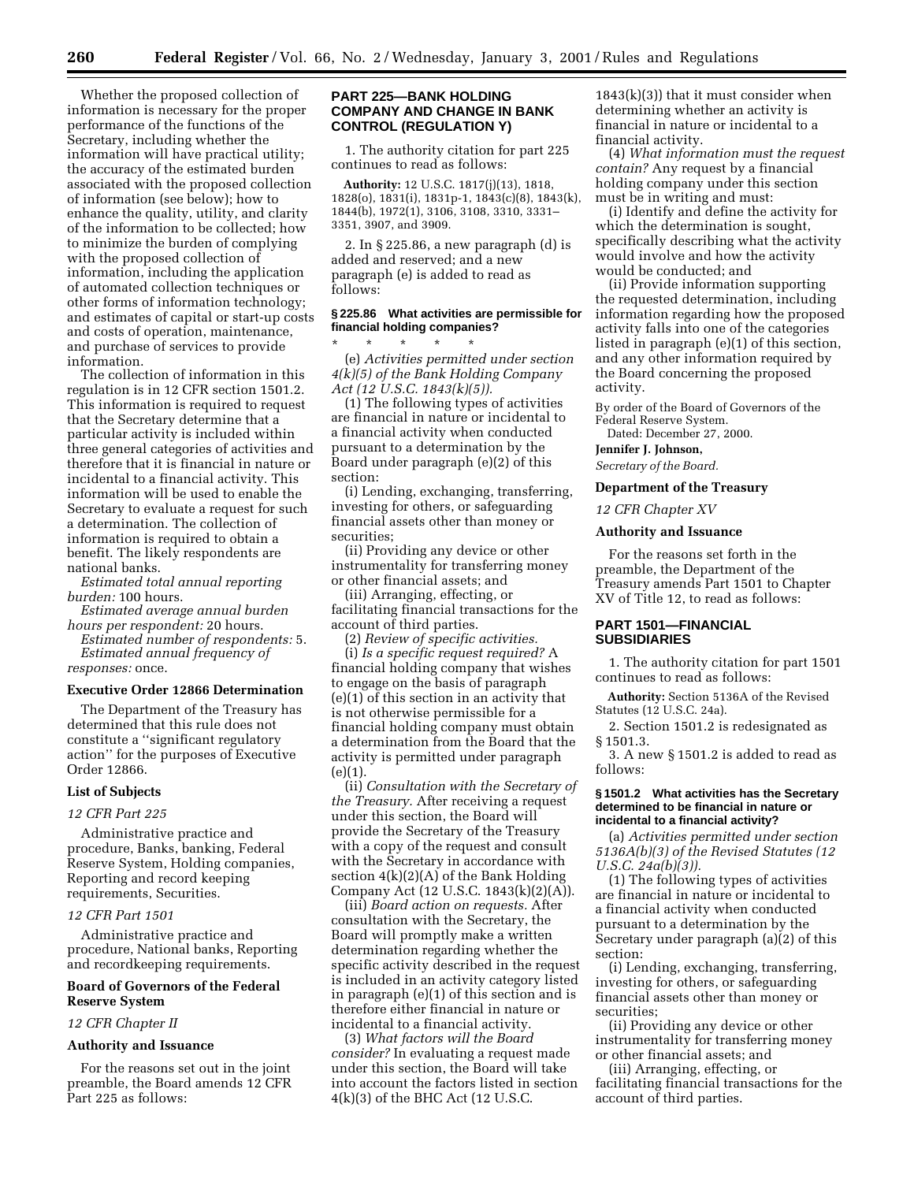Whether the proposed collection of information is necessary for the proper performance of the functions of the Secretary, including whether the information will have practical utility; the accuracy of the estimated burden associated with the proposed collection of information (see below); how to enhance the quality, utility, and clarity of the information to be collected; how to minimize the burden of complying with the proposed collection of information, including the application of automated collection techniques or other forms of information technology; and estimates of capital or start-up costs and costs of operation, maintenance, and purchase of services to provide information.

The collection of information in this regulation is in 12 CFR section 1501.2. This information is required to request that the Secretary determine that a particular activity is included within three general categories of activities and therefore that it is financial in nature or incidental to a financial activity. This information will be used to enable the Secretary to evaluate a request for such a determination. The collection of information is required to obtain a benefit. The likely respondents are national banks.

*Estimated total annual reporting burden:* 100 hours.

*Estimated average annual burden hours per respondent:* 20 hours.

*Estimated number of respondents:* 5. *Estimated annual frequency of responses:* once.

### **Executive Order 12866 Determination**

The Department of the Treasury has determined that this rule does not constitute a ''significant regulatory action'' for the purposes of Executive Order 12866.

#### **List of Subjects**

#### *12 CFR Part 225*

Administrative practice and procedure, Banks, banking, Federal Reserve System, Holding companies, Reporting and record keeping requirements, Securities.

#### *12 CFR Part 1501*

Administrative practice and procedure, National banks, Reporting and recordkeeping requirements.

### **Board of Governors of the Federal Reserve System**

### *12 CFR Chapter II*

#### **Authority and Issuance**

For the reasons set out in the joint preamble, the Board amends 12 CFR Part 225 as follows:

### **PART 225—BANK HOLDING COMPANY AND CHANGE IN BANK CONTROL (REGULATION Y)**

1. The authority citation for part 225 continues to read as follows:

**Authority:** 12 U.S.C. 1817(j)(13), 1818, 1828(o), 1831(i), 1831p-1, 1843(c)(8), 1843(k), 1844(b), 1972(1), 3106, 3108, 3310, 3331– 3351, 3907, and 3909.

2. In § 225.86, a new paragraph (d) is added and reserved; and a new paragraph (e) is added to read as follows:

### **§ 225.86 What activities are permissible for financial holding companies?**

\* \* \* \* \* (e) *Activities permitted under section 4(k)(5) of the Bank Holding Company Act (12 U.S.C. 1843(k)(5)).*

(1) The following types of activities are financial in nature or incidental to a financial activity when conducted pursuant to a determination by the Board under paragraph (e)(2) of this section:

(i) Lending, exchanging, transferring, investing for others, or safeguarding financial assets other than money or securities;

(ii) Providing any device or other instrumentality for transferring money or other financial assets; and

(iii) Arranging, effecting, or facilitating financial transactions for the account of third parties.

(2) *Review of specific activities.*

(i) *Is a specific request required?* A financial holding company that wishes to engage on the basis of paragraph (e)(1) of this section in an activity that is not otherwise permissible for a financial holding company must obtain a determination from the Board that the activity is permitted under paragraph  $(e)(1)$ .

(ii) *Consultation with the Secretary of the Treasury.* After receiving a request under this section, the Board will provide the Secretary of the Treasury with a copy of the request and consult with the Secretary in accordance with section 4(k)(2)(A) of the Bank Holding Company Act (12 U.S.C. 1843(k)(2)(A)).

(iii) *Board action on requests.* After consultation with the Secretary, the Board will promptly make a written determination regarding whether the specific activity described in the request is included in an activity category listed in paragraph (e)(1) of this section and is therefore either financial in nature or incidental to a financial activity.

(3) *What factors will the Board consider?* In evaluating a request made under this section, the Board will take into account the factors listed in section 4(k)(3) of the BHC Act (12 U.S.C.

 $1843(k)(3)$ ) that it must consider when determining whether an activity is financial in nature or incidental to a financial activity.

(4) *What information must the request contain?* Any request by a financial holding company under this section must be in writing and must:

(i) Identify and define the activity for which the determination is sought, specifically describing what the activity would involve and how the activity would be conducted; and

(ii) Provide information supporting the requested determination, including information regarding how the proposed activity falls into one of the categories listed in paragraph (e)(1) of this section, and any other information required by the Board concerning the proposed activity.

By order of the Board of Governors of the Federal Reserve System.

Dated: December 27, 2000.

**Jennifer J. Johnson,**

*Secretary of the Board.*

## **Department of the Treasury**

### *12 CFR Chapter XV*

#### **Authority and Issuance**

For the reasons set forth in the preamble, the Department of the Treasury amends Part 1501 to Chapter XV of Title 12, to read as follows:

### **PART 1501—FINANCIAL SUBSIDIARIES**

1. The authority citation for part 1501 continues to read as follows:

**Authority:** Section 5136A of the Revised Statutes (12 U.S.C. 24a).

2. Section 1501.2 is redesignated as § 1501.3.

3. A new § 1501.2 is added to read as follows:

#### **§ 1501.2 What activities has the Secretary determined to be financial in nature or incidental to a financial activity?**

(a) *Activities permitted under section 5136A(b)(3) of the Revised Statutes (12 U.S.C. 24a(b)(3)).*

(1) The following types of activities are financial in nature or incidental to a financial activity when conducted pursuant to a determination by the Secretary under paragraph (a)(2) of this section:

(i) Lending, exchanging, transferring, investing for others, or safeguarding financial assets other than money or securities;

(ii) Providing any device or other instrumentality for transferring money or other financial assets; and

(iii) Arranging, effecting, or facilitating financial transactions for the account of third parties.